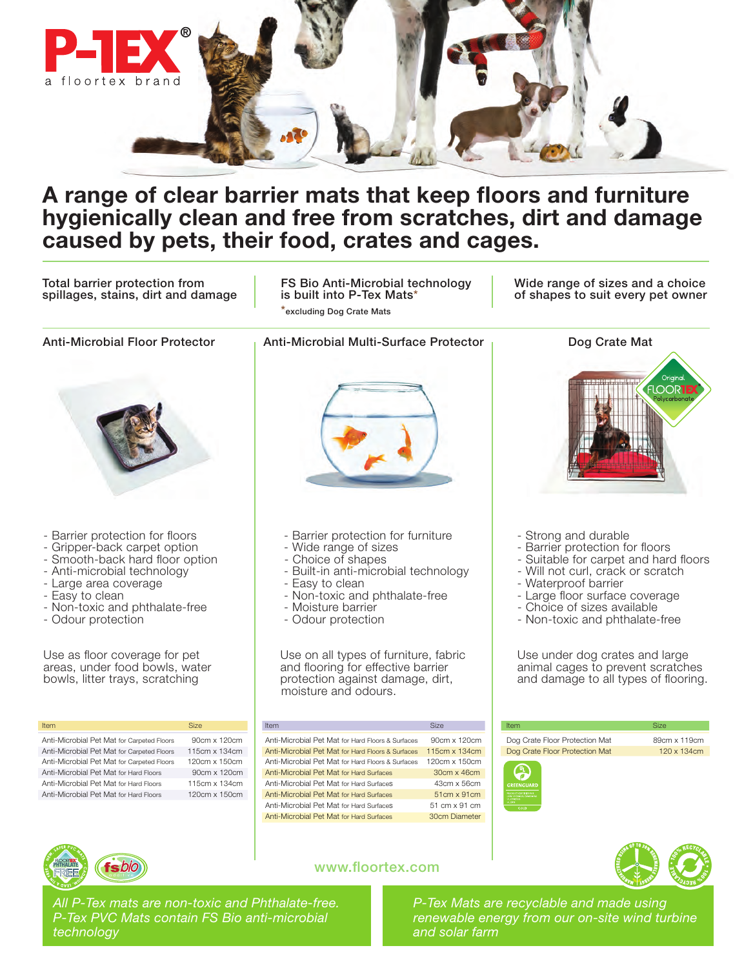

## A range of clear barrier mats that keep floors and furniture hygienically clean and free from scratches, dirt and damage caused by pets, their food, crates and cages.

Total barrier protection from spillages, stains, dirt and damage

FS Bio Anti-Microbial technology is built into P-Tex Mats\* \*excluding Dog Crate Mats

Wide range of sizes and a choice of shapes to suit every pet owner



*All P-Tex mats are non-toxic and Phthalate-free. P-Tex PVC Mats contain FS Bio anti-microbial technology*

*P-Tex Mats are recyclable and made using renewable energy from our on-site wind turbine and solar farm*